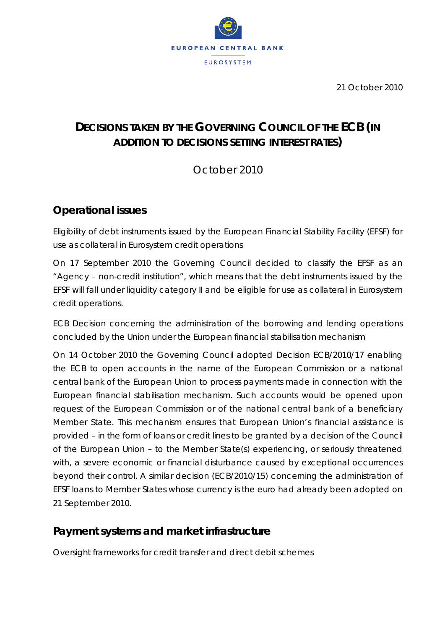

21 October 2010

# **DECISIONS TAKEN BY THE GOVERNING COUNCIL OF THE ECB** *(IN ADDITION TO DECISIONS SETTING INTEREST RATES)*

October 2010

## **Operational issues**

*Eligibility of debt instruments issued by the European Financial Stability Facility (EFSF) for use as collateral in Eurosystem credit operations*

On 17 September 2010 the Governing Council decided to classify the EFSF as an "Agency – non-credit institution", which means that the debt instruments issued by the EFSF will fall under liquidity category II and be eligible for use as collateral in Eurosystem credit operations.

*ECB Decision concerning the administration of the borrowing and lending operations concluded by the Union under the European financial stabilisation mechanism*

On 14 October 2010 the Governing Council adopted Decision ECB/2010/17 enabling the ECB to open accounts in the name of the European Commission or a national central bank of the European Union to process payments made in connection with the European financial stabilisation mechanism. Such accounts would be opened upon request of the European Commission or of the national central bank of a beneficiary Member State. This mechanism ensures that European Union's financial assistance is provided – in the form of loans or credit lines to be granted by a decision of the Council of the European Union – to the Member State(s) experiencing, or seriously threatened with, a severe economic or financial disturbance caused by exceptional occurrences beyond their control. A similar decision (ECB/2010/15) concerning the administration of EFSF loans to Member States whose currency is the euro had already been adopted on 21 September 2010.

## **Payment systems and market infrastructure**

*Oversight frameworks for credit transfer and direct debit schemes*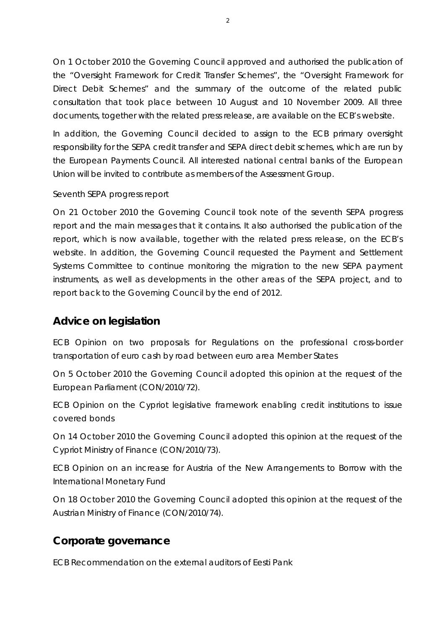On 1 October 2010 the Governing Council approved and authorised the publication of the "Oversight Framework for Credit Transfer Schemes", the "Oversight Framework for Direct Debit Schemes" and the summary of the outcome of the related public consultation that took place between 10 August and 10 November 2009. All three documents, together with the related press release, are available on the ECB's website.

In addition, the Governing Council decided to assign to the ECB primary oversight responsibility for the SEPA credit transfer and SEPA direct debit schemes, which are run by the European Payments Council. All interested national central banks of the European Union will be invited to contribute as members of the Assessment Group.

#### *Seventh SEPA progress report*

On 21 October 2010 the Governing Council took note of the seventh SEPA progress report and the main messages that it contains. It also authorised the publication of the report, which is now available, together with the related press release, on the ECB's website. In addition, the Governing Council requested the Payment and Settlement Systems Committee to continue monitoring the migration to the new SEPA payment instruments, as well as developments in the other areas of the SEPA project, and to report back to the Governing Council by the end of 2012.

### **Advice on legislation**

*ECB Opinion on two proposals for Regulations on the professional cross-border transportation of euro cash by road between euro area Member States*

On 5 October 2010 the Governing Council adopted this opinion at the request of the European Parliament (CON/2010/72).

*ECB Opinion on the Cypriot legislative framework enabling credit institutions to issue covered bonds*

On 14 October 2010 the Governing Council adopted this opinion at the request of the Cypriot Ministry of Finance (CON/2010/73).

*ECB Opinion on an increase for Austria of the New Arrangements to Borrow with the International Monetary Fund*

On 18 October 2010 the Governing Council adopted this opinion at the request of the Austrian Ministry of Finance (CON/2010/74).

## **Corporate governance**

*ECB Recommendation on the external auditors of Eesti Pank*